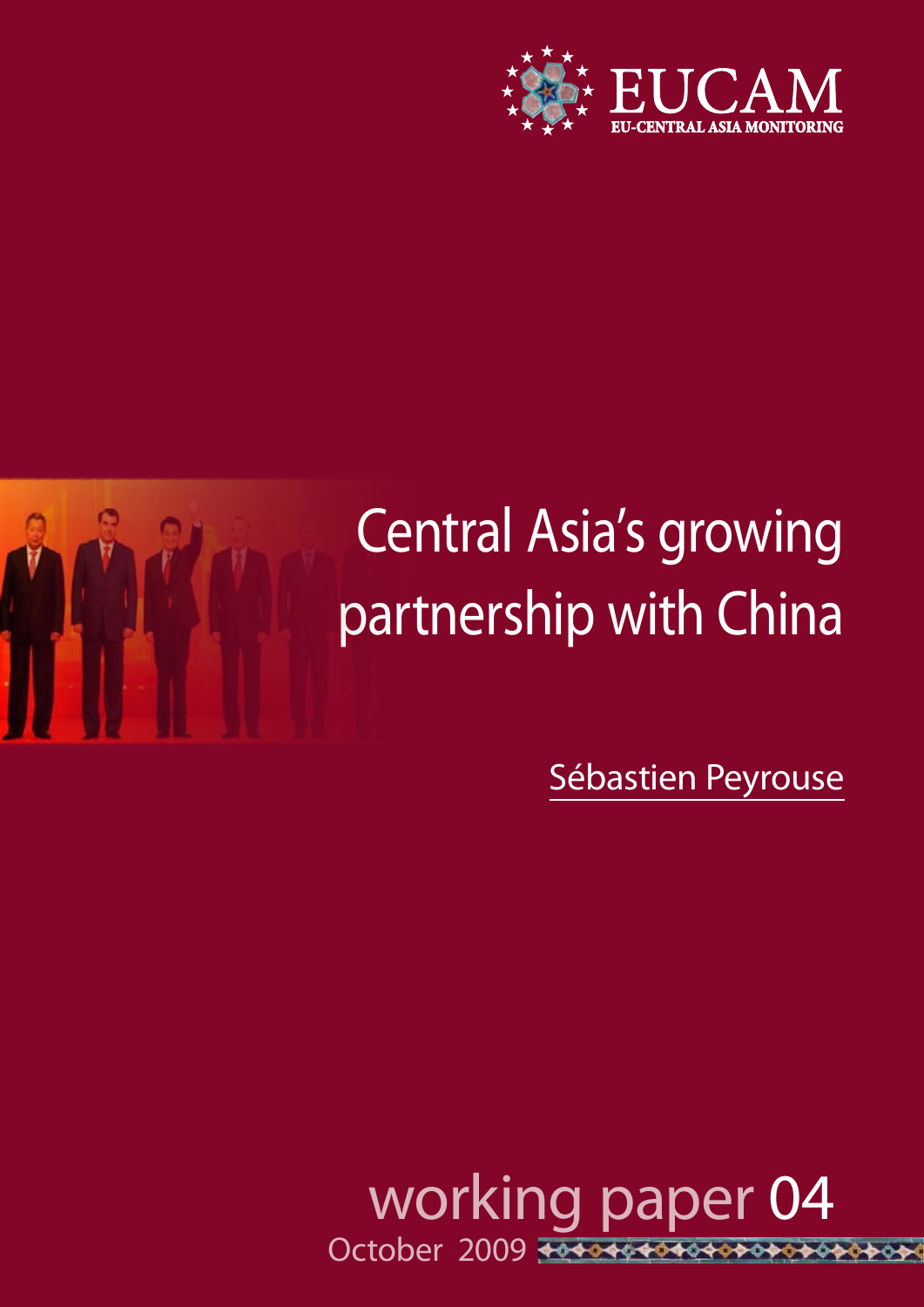

# Central Asia's growing partnership with China

Sébastien Peyrouse

 working paper 04 October 2009 \*\*\*\*\*\*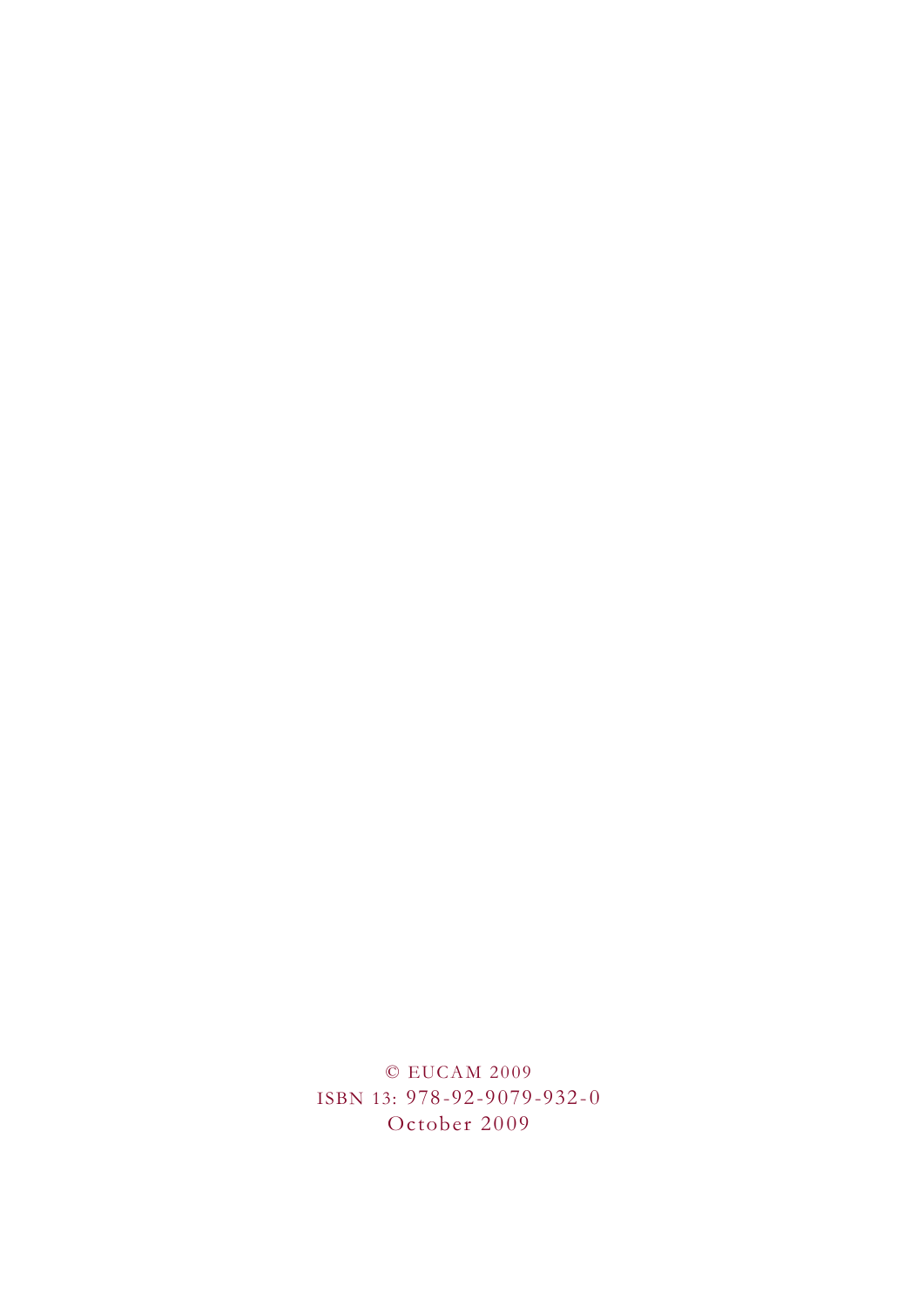© EUCAM 2009 ISBN 13: 978-92-9079-932-0 October 2009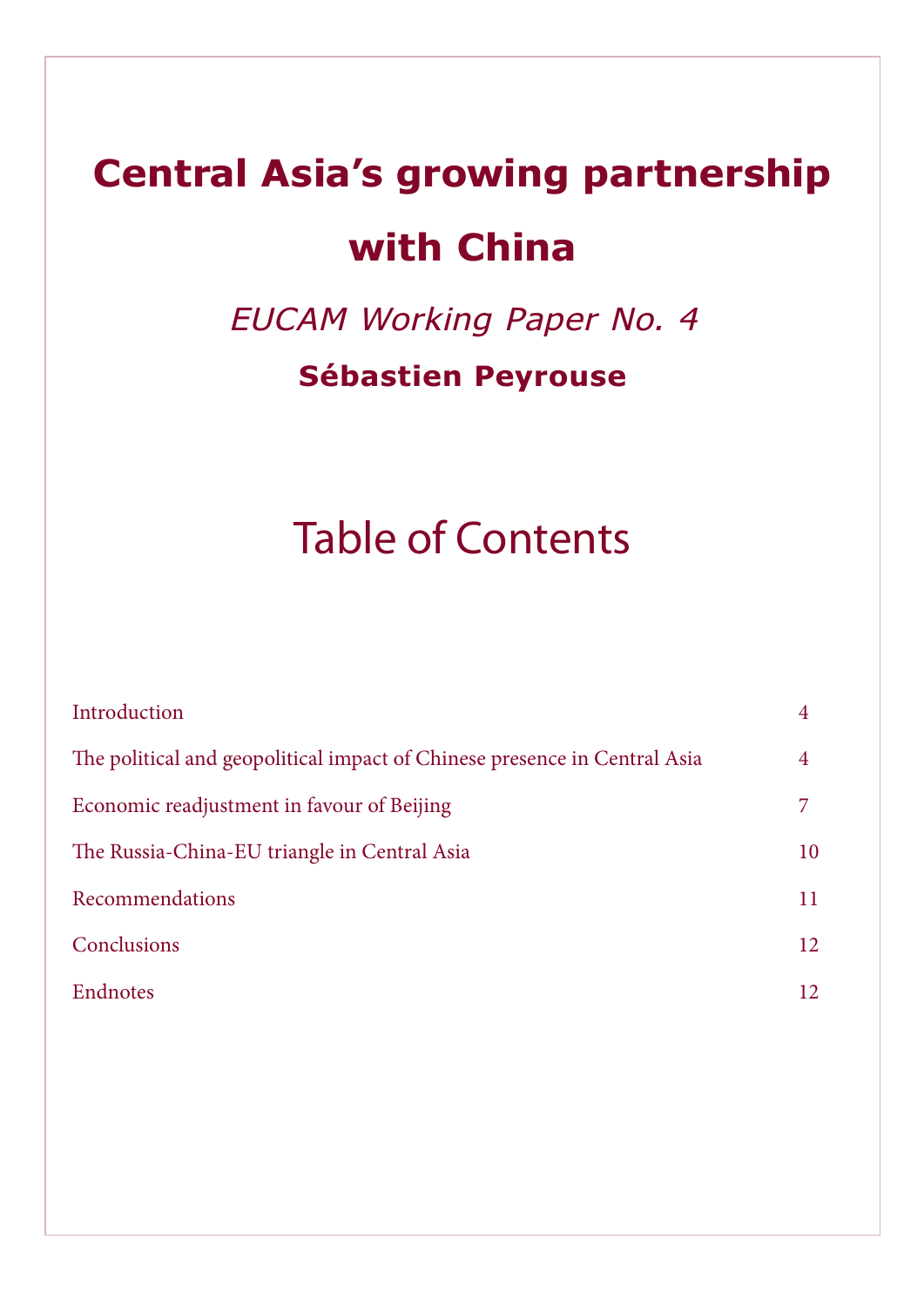## **Central Asia's growing partnership with China**

EUCAM Working Paper No. 4

### **Sébastien Peyrouse**

## Table of Contents

| Introduction                                                              |    |
|---------------------------------------------------------------------------|----|
| The political and geopolitical impact of Chinese presence in Central Asia | 4  |
| Economic readjustment in favour of Beijing                                |    |
| The Russia-China-EU triangle in Central Asia                              | 10 |
| Recommendations                                                           | 11 |
| Conclusions                                                               | 12 |
| Endnotes                                                                  | 12 |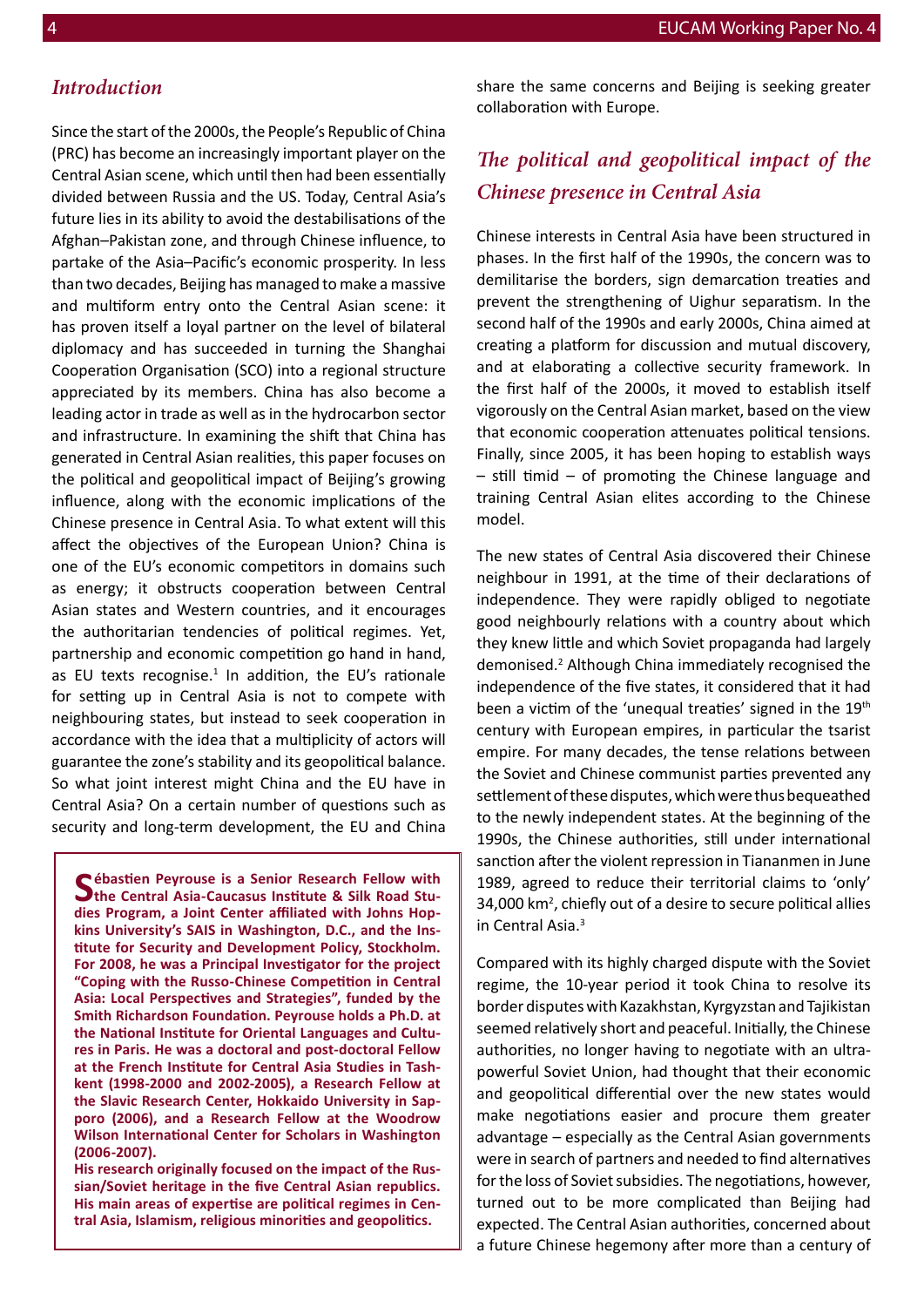#### *Introduction*

Since the start of the 2000s, the People's Republic of China (PRC) has become an increasingly important player on the Central Asian scene, which until then had been essentially divided between Russia and the US. Today, Central Asia's future lies in its ability to avoid the destabilisations of the Afghan–Pakistan zone, and through Chinese influence, to partake of the Asia–Pacific's economic prosperity. In less than two decades, Beijing has managed to make a massive and multiform entry onto the Central Asian scene: it has proven itself a loyal partner on the level of bilateral diplomacy and has succeeded in turning the Shanghai Cooperation Organisation (SCO) into a regional structure appreciated by its members. China has also become a leading actor in trade as well as in the hydrocarbon sector and infrastructure. In examining the shift that China has generated in Central Asian realities, this paper focuses on the political and geopolitical impact of Beijing's growing influence, along with the economic implications of the Chinese presence in Central Asia. To what extent will this affect the objectives of the European Union? China is one of the EU's economic competitors in domains such as energy; it obstructs cooperation between Central Asian states and Western countries, and it encourages the authoritarian tendencies of political regimes. Yet, partnership and economic competition go hand in hand, as EU texts recognise. $1$  In addition, the EU's rationale for setting up in Central Asia is not to compete with neighbouring states, but instead to seek cooperation in accordance with the idea that a multiplicity of actors will guarantee the zone's stability and its geopolitical balance. So what joint interest might China and the EU have in Central Asia? On a certain number of questions such as security and long-term development, the EU and China

Sébastien Peyrouse is a Senior Research Fellow with the Central Asia-Caucasus Institute & Silk Road Stu**dies Program, a Joint Center affiliated with Johns Hopkins University's SAIS in Washington, D.C., and the Institute for Security and Development Policy, Stockholm. For 2008, he was a Principal Investigator for the project "Coping with the Russo-Chinese Competition in Central Asia: Local Perspectives and Strategies", funded by the Smith Richardson Foundation. Peyrouse holds a Ph.D. at the National Institute for Oriental Languages and Cultures in Paris. He was a doctoral and post-doctoral Fellow at the French Institute for Central Asia Studies in Tashkent (1998-2000 and 2002-2005), a Research Fellow at the Slavic Research Center, Hokkaido University in Sapporo (2006), and a Research Fellow at the Woodrow Wilson International Center for Scholars in Washington (2006-2007).**

**His research originally focused on the impact of the Russian/Soviet heritage in the five Central Asian republics. His main areas of expertise are political regimes in Central Asia, Islamism, religious minorities and geopolitics.**

share the same concerns and Beijing is seeking greater collaboration with Europe.

#### *The political and geopolitical impact of the Chinese presence in Central Asia*

Chinese interests in Central Asia have been structured in phases. In the first half of the 1990s, the concern was to demilitarise the borders, sign demarcation treaties and prevent the strengthening of Uighur separatism. In the second half of the 1990s and early 2000s, China aimed at creating a platform for discussion and mutual discovery, and at elaborating a collective security framework. In the first half of the 2000s, it moved to establish itself vigorously on the Central Asian market, based on the view that economic cooperation attenuates political tensions. Finally, since 2005, it has been hoping to establish ways – still timid – of promoting the Chinese language and training Central Asian elites according to the Chinese model.

The new states of Central Asia discovered their Chinese neighbour in 1991, at the time of their declarations of independence. They were rapidly obliged to negotiate good neighbourly relations with a country about which they knew little and which Soviet propaganda had largely demonised.<sup>2</sup> Although China immediately recognised the independence of the five states, it considered that it had been a victim of the 'unequal treaties' signed in the 19<sup>th</sup> century with European empires, in particular the tsarist empire. For many decades, the tense relations between the Soviet and Chinese communist parties prevented any settlement of these disputes, which were thus bequeathed to the newly independent states. At the beginning of the 1990s, the Chinese authorities, still under international sanction after the violent repression in Tiananmen in June 1989, agreed to reduce their territorial claims to 'only' 34,000 km<sup>2</sup>, chiefly out of a desire to secure political allies in Central Asia.<sup>3</sup>

Compared with its highly charged dispute with the Soviet regime, the 10-year period it took China to resolve its border disputes with Kazakhstan, Kyrgyzstan and Tajikistan seemed relatively short and peaceful. Initially, the Chinese authorities, no longer having to negotiate with an ultrapowerful Soviet Union, had thought that their economic and geopolitical differential over the new states would make negotiations easier and procure them greater advantage – especially as the Central Asian governments were in search of partners and needed to find alternatives for the loss of Soviet subsidies. The negotiations, however, turned out to be more complicated than Beijing had expected. The Central Asian authorities, concerned about a future Chinese hegemony after more than a century of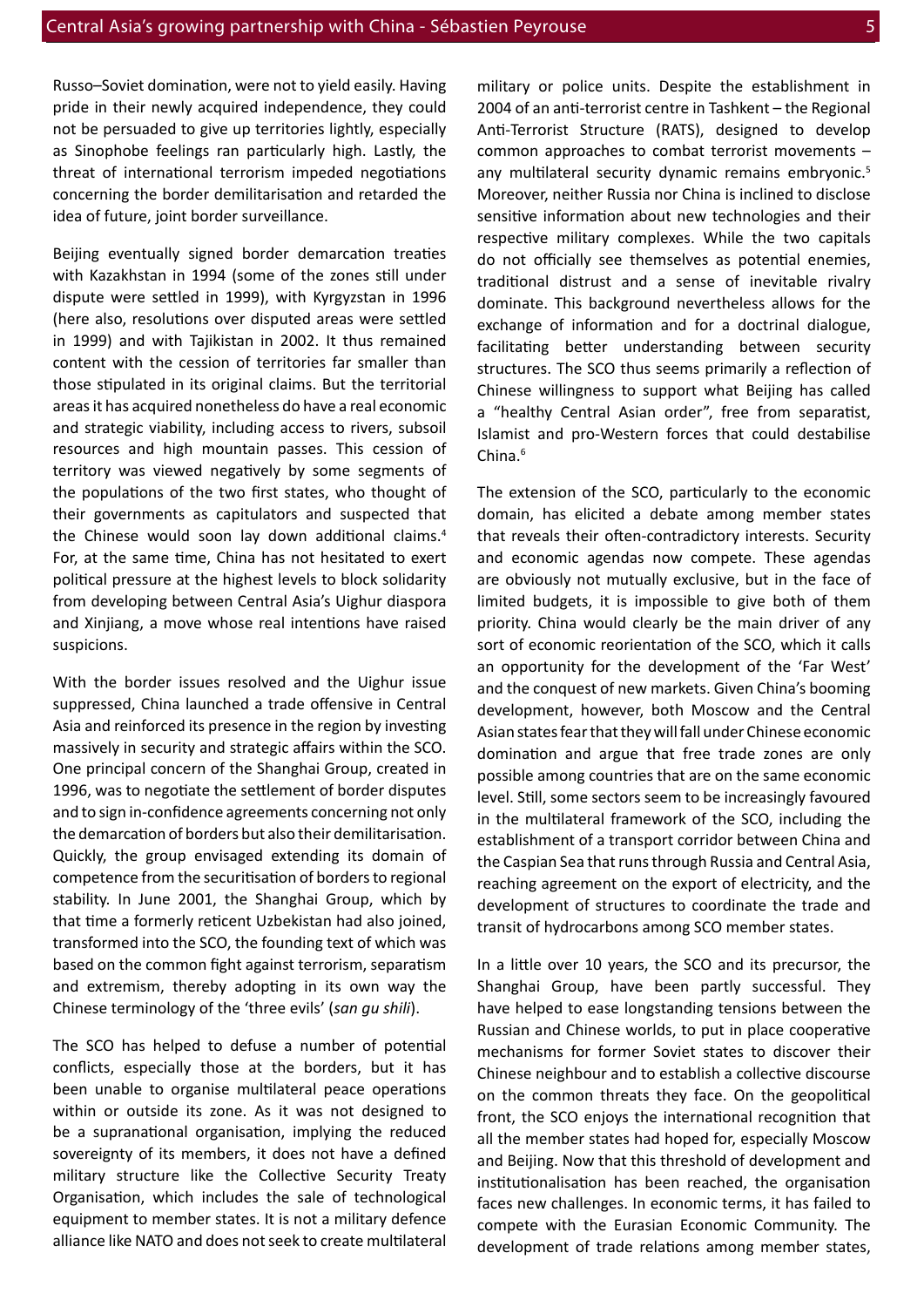Russo–Soviet domination, were not to yield easily. Having pride in their newly acquired independence, they could not be persuaded to give up territories lightly, especially as Sinophobe feelings ran particularly high. Lastly, the threat of international terrorism impeded negotiations concerning the border demilitarisation and retarded the idea of future, joint border surveillance.

Beijing eventually signed border demarcation treaties with Kazakhstan in 1994 (some of the zones still under dispute were settled in 1999), with Kyrgyzstan in 1996 (here also, resolutions over disputed areas were settled in 1999) and with Tajikistan in 2002. It thus remained content with the cession of territories far smaller than those stipulated in its original claims. But the territorial areas it has acquired nonetheless do have a real economic and strategic viability, including access to rivers, subsoil resources and high mountain passes. This cession of territory was viewed negatively by some segments of the populations of the two first states, who thought of their governments as capitulators and suspected that the Chinese would soon lay down additional claims.<sup>4</sup> For, at the same time, China has not hesitated to exert political pressure at the highest levels to block solidarity from developing between Central Asia's Uighur diaspora and Xinjiang, a move whose real intentions have raised suspicions.

With the border issues resolved and the Uighur issue suppressed, China launched a trade offensive in Central Asia and reinforced its presence in the region by investing massively in security and strategic affairs within the SCO. One principal concern of the Shanghai Group, created in 1996, was to negotiate the settlement of border disputes and to sign in-confidence agreements concerning not only the demarcation of borders but also their demilitarisation. Quickly, the group envisaged extending its domain of competence from the securitisation of borders to regional stability. In June 2001, the Shanghai Group, which by that time a formerly reticent Uzbekistan had also joined, transformed into the SCO, the founding text of which was based on the common fight against terrorism, separatism and extremism, thereby adopting in its own way the Chinese terminology of the 'three evils' (*san gu shili*).

The SCO has helped to defuse a number of potential conflicts, especially those at the borders, but it has been unable to organise multilateral peace operations within or outside its zone. As it was not designed to be a supranational organisation, implying the reduced sovereignty of its members, it does not have a defined military structure like the Collective Security Treaty Organisation, which includes the sale of technological equipment to member states. It is not a military defence alliance like NATO and does not seek to create multilateral

military or police units. Despite the establishment in 2004 of an anti-terrorist centre in Tashkent – the Regional Anti-Terrorist Structure (RATS), designed to develop common approaches to combat terrorist movements – any multilateral security dynamic remains embryonic.<sup>5</sup> Moreover, neither Russia nor China is inclined to disclose sensitive information about new technologies and their respective military complexes. While the two capitals do not officially see themselves as potential enemies, traditional distrust and a sense of inevitable rivalry dominate. This background nevertheless allows for the exchange of information and for a doctrinal dialogue, facilitating better understanding between security structures. The SCO thus seems primarily a reflection of Chinese willingness to support what Beijing has called a "healthy Central Asian order", free from separatist, Islamist and pro-Western forces that could destabilise China.<sup>6</sup>

The extension of the SCO, particularly to the economic domain, has elicited a debate among member states that reveals their often-contradictory interests. Security and economic agendas now compete. These agendas are obviously not mutually exclusive, but in the face of limited budgets, it is impossible to give both of them priority. China would clearly be the main driver of any sort of economic reorientation of the SCO, which it calls an opportunity for the development of the 'Far West' and the conquest of new markets. Given China's booming development, however, both Moscow and the Central Asian states fear that they will fall under Chinese economic domination and argue that free trade zones are only possible among countries that are on the same economic level. Still, some sectors seem to be increasingly favoured in the multilateral framework of the SCO, including the establishment of a transport corridor between China and the Caspian Sea that runs through Russia and Central Asia, reaching agreement on the export of electricity, and the development of structures to coordinate the trade and transit of hydrocarbons among SCO member states.

In a little over 10 years, the SCO and its precursor, the Shanghai Group, have been partly successful. They have helped to ease longstanding tensions between the Russian and Chinese worlds, to put in place cooperative mechanisms for former Soviet states to discover their Chinese neighbour and to establish a collective discourse on the common threats they face. On the geopolitical front, the SCO enjoys the international recognition that all the member states had hoped for, especially Moscow and Beijing. Now that this threshold of development and institutionalisation has been reached, the organisation faces new challenges. In economic terms, it has failed to compete with the Eurasian Economic Community. The development of trade relations among member states,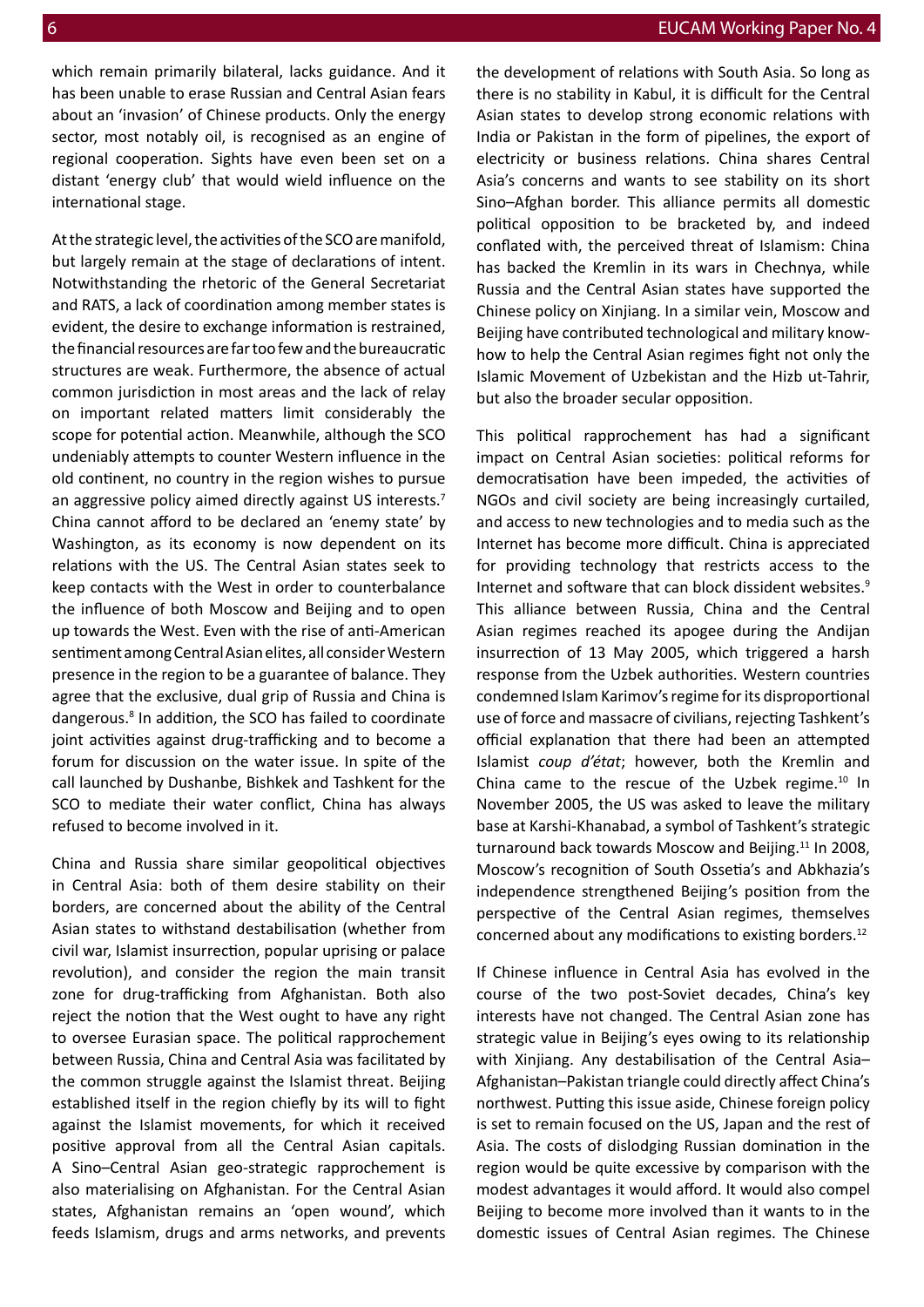which remain primarily bilateral, lacks guidance. And it has been unable to erase Russian and Central Asian fears about an 'invasion' of Chinese products. Only the energy sector, most notably oil, is recognised as an engine of regional cooperation. Sights have even been set on a distant 'energy club' that would wield influence on the international stage.

At the strategic level, the activities of the SCO are manifold, but largely remain at the stage of declarations of intent. Notwithstanding the rhetoric of the General Secretariat and RATS, a lack of coordination among member states is evident, the desire to exchange information is restrained, the financial resources are far too few and the bureaucratic structures are weak. Furthermore, the absence of actual common jurisdiction in most areas and the lack of relay on important related matters limit considerably the scope for potential action. Meanwhile, although the SCO undeniably attempts to counter Western influence in the old continent, no country in the region wishes to pursue an aggressive policy aimed directly against US interests.<sup>7</sup> China cannot afford to be declared an 'enemy state' by Washington, as its economy is now dependent on its relations with the US. The Central Asian states seek to keep contacts with the West in order to counterbalance the influence of both Moscow and Beijing and to open up towards the West. Even with the rise of anti-American sentiment among Central Asian elites, all consider Western presence in the region to be a guarantee of balance. They agree that the exclusive, dual grip of Russia and China is dangerous.<sup>8</sup> In addition, the SCO has failed to coordinate joint activities against drug-trafficking and to become a forum for discussion on the water issue. In spite of the call launched by Dushanbe, Bishkek and Tashkent for the SCO to mediate their water conflict, China has always refused to become involved in it.

China and Russia share similar geopolitical objectives in Central Asia: both of them desire stability on their borders, are concerned about the ability of the Central Asian states to withstand destabilisation (whether from civil war, Islamist insurrection, popular uprising or palace revolution), and consider the region the main transit zone for drug-trafficking from Afghanistan. Both also reject the notion that the West ought to have any right to oversee Eurasian space. The political rapprochement between Russia, China and Central Asia was facilitated by the common struggle against the Islamist threat. Beijing established itself in the region chiefly by its will to fight against the Islamist movements, for which it received positive approval from all the Central Asian capitals. A Sino–Central Asian geo-strategic rapprochement is also materialising on Afghanistan. For the Central Asian states, Afghanistan remains an 'open wound', which feeds Islamism, drugs and arms networks, and prevents

the development of relations with South Asia. So long as there is no stability in Kabul, it is difficult for the Central Asian states to develop strong economic relations with India or Pakistan in the form of pipelines, the export of electricity or business relations. China shares Central Asia's concerns and wants to see stability on its short Sino–Afghan border. This alliance permits all domestic political opposition to be bracketed by, and indeed conflated with, the perceived threat of Islamism: China has backed the Kremlin in its wars in Chechnya, while Russia and the Central Asian states have supported the Chinese policy on Xinjiang. In a similar vein, Moscow and Beijing have contributed technological and military knowhow to help the Central Asian regimes fight not only the Islamic Movement of Uzbekistan and the Hizb ut-Tahrir, but also the broader secular opposition.

This political rapprochement has had a significant impact on Central Asian societies: political reforms for democratisation have been impeded, the activities of NGOs and civil society are being increasingly curtailed, and access to new technologies and to media such as the Internet has become more difficult. China is appreciated for providing technology that restricts access to the Internet and software that can block dissident websites.<sup>9</sup> This alliance between Russia, China and the Central Asian regimes reached its apogee during the Andijan insurrection of 13 May 2005, which triggered a harsh response from the Uzbek authorities. Western countries condemned Islam Karimov's regime for its disproportional use of force and massacre of civilians, rejecting Tashkent's official explanation that there had been an attempted Islamist *coup d'état*; however, both the Kremlin and China came to the rescue of the Uzbek regime.<sup>10</sup> In November 2005, the US was asked to leave the military base at Karshi-Khanabad, a symbol of Tashkent's strategic turnaround back towards Moscow and Beijing.<sup>11</sup> In 2008, Moscow's recognition of South Ossetia's and Abkhazia's independence strengthened Beijing's position from the perspective of the Central Asian regimes, themselves concerned about any modifications to existing borders.<sup>12</sup>

If Chinese influence in Central Asia has evolved in the course of the two post-Soviet decades, China's key interests have not changed. The Central Asian zone has strategic value in Beijing's eyes owing to its relationship with Xinjiang. Any destabilisation of the Central Asia– Afghanistan–Pakistan triangle could directly affect China's northwest. Putting this issue aside, Chinese foreign policy is set to remain focused on the US, Japan and the rest of Asia. The costs of dislodging Russian domination in the region would be quite excessive by comparison with the modest advantages it would afford. It would also compel Beijing to become more involved than it wants to in the domestic issues of Central Asian regimes. The Chinese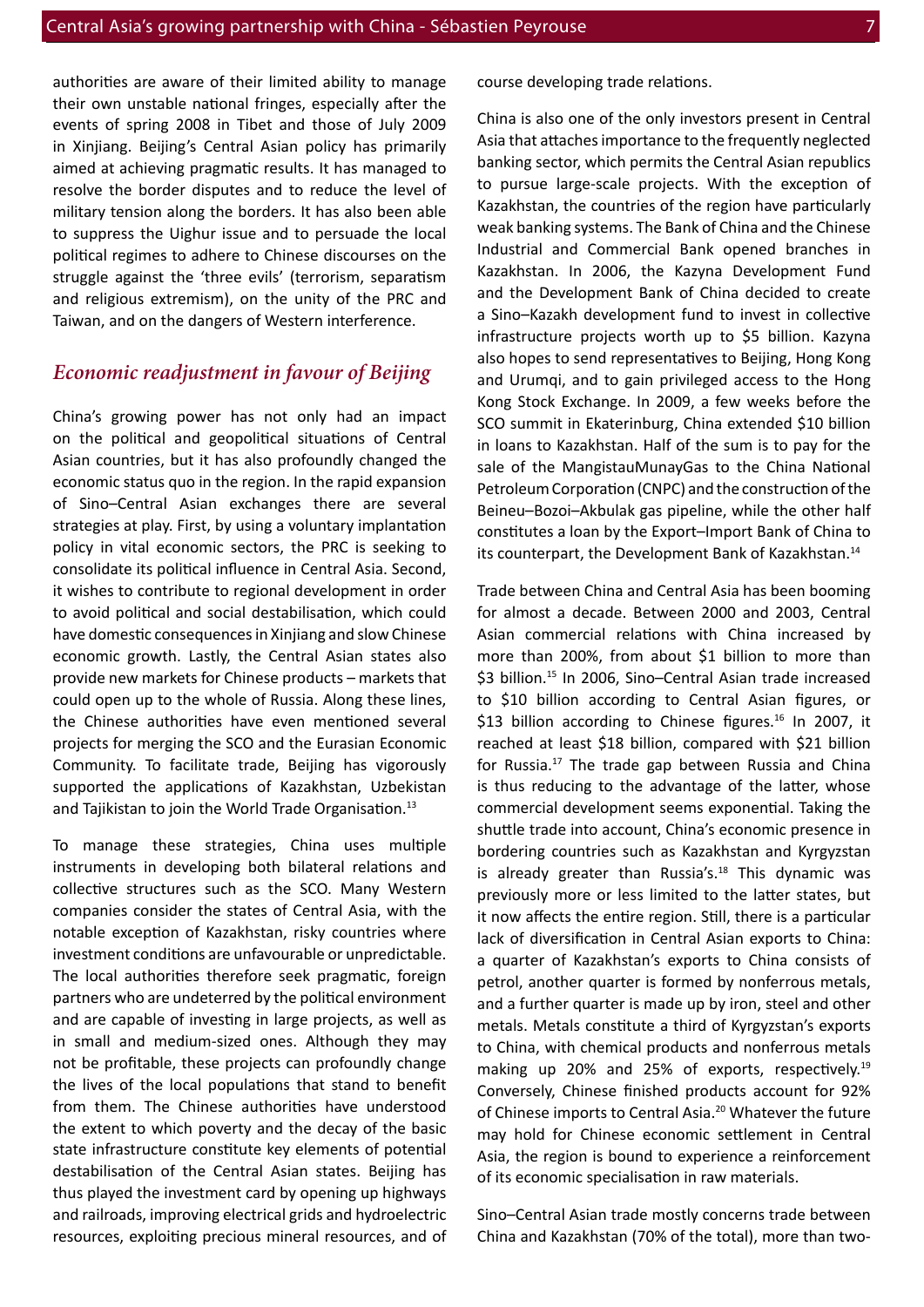authorities are aware of their limited ability to manage their own unstable national fringes, especially after the events of spring 2008 in Tibet and those of July 2009 in Xinjiang. Beijing's Central Asian policy has primarily aimed at achieving pragmatic results. It has managed to resolve the border disputes and to reduce the level of military tension along the borders. It has also been able to suppress the Uighur issue and to persuade the local political regimes to adhere to Chinese discourses on the struggle against the 'three evils' (terrorism, separatism and religious extremism), on the unity of the PRC and Taiwan, and on the dangers of Western interference.

#### *Economic readjustment in favour of Beijing*

China's growing power has not only had an impact on the political and geopolitical situations of Central Asian countries, but it has also profoundly changed the economic status quo in the region. In the rapid expansion of Sino–Central Asian exchanges there are several strategies at play. First, by using a voluntary implantation policy in vital economic sectors, the PRC is seeking to consolidate its political influence in Central Asia. Second, it wishes to contribute to regional development in order to avoid political and social destabilisation, which could have domestic consequences in Xinjiang and slow Chinese economic growth. Lastly, the Central Asian states also provide new markets for Chinese products – markets that could open up to the whole of Russia. Along these lines, the Chinese authorities have even mentioned several projects for merging the SCO and the Eurasian Economic Community. To facilitate trade, Beijing has vigorously supported the applications of Kazakhstan, Uzbekistan and Tajikistan to join the World Trade Organisation.<sup>13</sup>

To manage these strategies, China uses multiple instruments in developing both bilateral relations and collective structures such as the SCO. Many Western companies consider the states of Central Asia, with the notable exception of Kazakhstan, risky countries where investment conditions are unfavourable or unpredictable. The local authorities therefore seek pragmatic, foreign partners who are undeterred by the political environment and are capable of investing in large projects, as well as in small and medium-sized ones. Although they may not be profitable, these projects can profoundly change the lives of the local populations that stand to benefit from them. The Chinese authorities have understood the extent to which poverty and the decay of the basic state infrastructure constitute key elements of potential destabilisation of the Central Asian states. Beijing has thus played the investment card by opening up highways and railroads, improving electrical grids and hydroelectric resources, exploiting precious mineral resources, and of course developing trade relations.

China is also one of the only investors present in Central Asia that attaches importance to the frequently neglected banking sector, which permits the Central Asian republics to pursue large-scale projects. With the exception of Kazakhstan, the countries of the region have particularly weak banking systems. The Bank of China and the Chinese Industrial and Commercial Bank opened branches in Kazakhstan. In 2006, the Kazyna Development Fund and the Development Bank of China decided to create a Sino–Kazakh development fund to invest in collective infrastructure projects worth up to \$5 billion. Kazyna also hopes to send representatives to Beijing, Hong Kong and Urumqi, and to gain privileged access to the Hong Kong Stock Exchange. In 2009, a few weeks before the SCO summit in Ekaterinburg, China extended \$10 billion in loans to Kazakhstan. Half of the sum is to pay for the sale of the MangistauMunayGas to the China National Petroleum Corporation (CNPC) and the construction of the Beineu–Bozoi–Akbulak gas pipeline, while the other half constitutes a loan by the Export–Import Bank of China to its counterpart, the Development Bank of Kazakhstan.<sup>14</sup>

Trade between China and Central Asia has been booming for almost a decade. Between 2000 and 2003, Central Asian commercial relations with China increased by more than 200%, from about \$1 billion to more than \$3 billion.<sup>15</sup> In 2006, Sino–Central Asian trade increased to \$10 billion according to Central Asian figures, or \$13 billion according to Chinese figures.<sup>16</sup> In 2007, it reached at least \$18 billion, compared with \$21 billion for Russia.17 The trade gap between Russia and China is thus reducing to the advantage of the latter, whose commercial development seems exponential. Taking the shuttle trade into account, China's economic presence in bordering countries such as Kazakhstan and Kyrgyzstan is already greater than Russia's.<sup>18</sup> This dynamic was previously more or less limited to the latter states, but it now affects the entire region. Still, there is a particular lack of diversification in Central Asian exports to China: a quarter of Kazakhstan's exports to China consists of petrol, another quarter is formed by nonferrous metals, and a further quarter is made up by iron, steel and other metals. Metals constitute a third of Kyrgyzstan's exports to China, with chemical products and nonferrous metals making up 20% and 25% of exports, respectively.<sup>19</sup> Conversely, Chinese finished products account for 92% of Chinese imports to Central Asia.<sup>20</sup> Whatever the future may hold for Chinese economic settlement in Central Asia, the region is bound to experience a reinforcement of its economic specialisation in raw materials.

Sino–Central Asian trade mostly concerns trade between China and Kazakhstan (70% of the total), more than two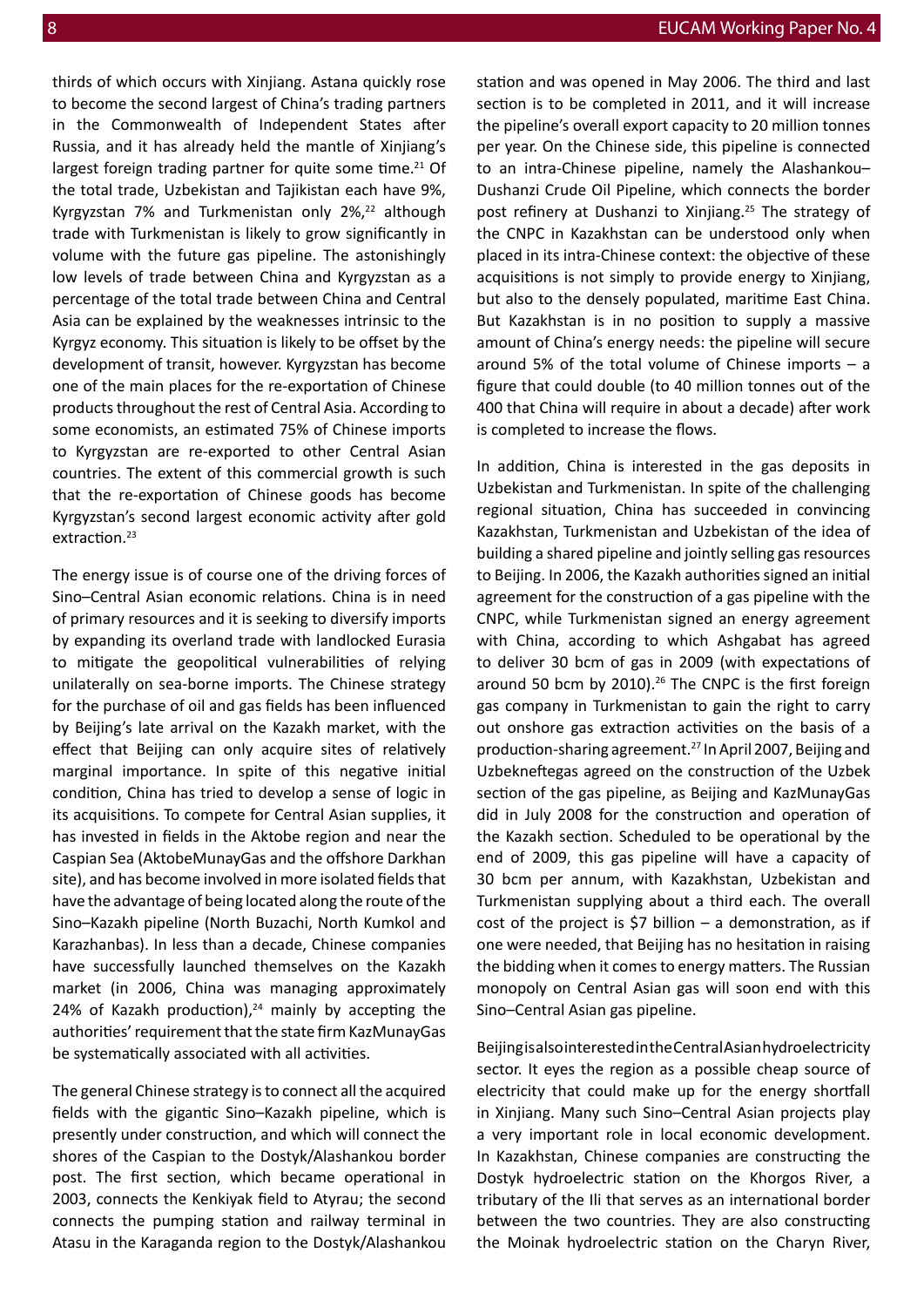thirds of which occurs with Xinjiang. Astana quickly rose to become the second largest of China's trading partners in the Commonwealth of Independent States after Russia, and it has already held the mantle of Xinjiang's largest foreign trading partner for quite some time.<sup>21</sup> Of the total trade, Uzbekistan and Tajikistan each have 9%, Kyrgyzstan 7% and Turkmenistan only  $2\frac{2}{3}$  although trade with Turkmenistan is likely to grow significantly in volume with the future gas pipeline. The astonishingly low levels of trade between China and Kyrgyzstan as a percentage of the total trade between China and Central Asia can be explained by the weaknesses intrinsic to the Kyrgyz economy. This situation is likely to be offset by the development of transit, however. Kyrgyzstan has become one of the main places for the re-exportation of Chinese products throughout the rest of Central Asia. According to some economists, an estimated 75% of Chinese imports to Kyrgyzstan are re-exported to other Central Asian countries. The extent of this commercial growth is such that the re-exportation of Chinese goods has become Kyrgyzstan's second largest economic activity after gold extraction.<sup>23</sup>

The energy issue is of course one of the driving forces of Sino–Central Asian economic relations. China is in need of primary resources and it is seeking to diversify imports by expanding its overland trade with landlocked Eurasia to mitigate the geopolitical vulnerabilities of relying unilaterally on sea-borne imports. The Chinese strategy for the purchase of oil and gas fields has been influenced by Beijing's late arrival on the Kazakh market, with the effect that Beijing can only acquire sites of relatively marginal importance. In spite of this negative initial condition, China has tried to develop a sense of logic in its acquisitions. To compete for Central Asian supplies, it has invested in fields in the Aktobe region and near the Caspian Sea (AktobeMunayGas and the offshore Darkhan site), and has become involved in more isolated fields that have the advantage of being located along the route of the Sino–Kazakh pipeline (North Buzachi, North Kumkol and Karazhanbas). In less than a decade, Chinese companies have successfully launched themselves on the Kazakh market (in 2006, China was managing approximately 24% of Kazakh production), $24$  mainly by accepting the authorities' requirement that the state firm KazMunayGas be systematically associated with all activities.

The general Chinese strategy is to connect all the acquired fields with the gigantic Sino–Kazakh pipeline, which is presently under construction, and which will connect the shores of the Caspian to the Dostyk/Alashankou border post. The first section, which became operational in 2003, connects the Kenkiyak field to Atyrau; the second connects the pumping station and railway terminal in Atasu in the Karaganda region to the Dostyk/Alashankou

station and was opened in May 2006. The third and last section is to be completed in 2011, and it will increase the pipeline's overall export capacity to 20 million tonnes per year. On the Chinese side, this pipeline is connected to an intra-Chinese pipeline, namely the Alashankou– Dushanzi Crude Oil Pipeline, which connects the border post refinery at Dushanzi to Xinjiang.<sup>25</sup> The strategy of the CNPC in Kazakhstan can be understood only when placed in its intra-Chinese context: the objective of these acquisitions is not simply to provide energy to Xinjiang, but also to the densely populated, maritime East China. But Kazakhstan is in no position to supply a massive amount of China's energy needs: the pipeline will secure around 5% of the total volume of Chinese imports  $-$  a figure that could double (to 40 million tonnes out of the 400 that China will require in about a decade) after work is completed to increase the flows.

In addition, China is interested in the gas deposits in Uzbekistan and Turkmenistan. In spite of the challenging regional situation, China has succeeded in convincing Kazakhstan, Turkmenistan and Uzbekistan of the idea of building a shared pipeline and jointly selling gas resources to Beijing. In 2006, the Kazakh authorities signed an initial agreement for the construction of a gas pipeline with the CNPC, while Turkmenistan signed an energy agreement with China, according to which Ashgabat has agreed to deliver 30 bcm of gas in 2009 (with expectations of around 50 bcm by 2010). $26$  The CNPC is the first foreign gas company in Turkmenistan to gain the right to carry out onshore gas extraction activities on the basis of a production-sharing agreement.<sup>27</sup> In April 2007, Beijing and Uzbekneftegas agreed on the construction of the Uzbek section of the gas pipeline, as Beijing and KazMunayGas did in July 2008 for the construction and operation of the Kazakh section. Scheduled to be operational by the end of 2009, this gas pipeline will have a capacity of 30 bcm per annum, with Kazakhstan, Uzbekistan and Turkmenistan supplying about a third each. The overall cost of the project is \$7 billion  $-$  a demonstration, as if one were needed, that Beijing has no hesitation in raising the bidding when it comes to energy matters. The Russian monopoly on Central Asian gas will soon end with this Sino–Central Asian gas pipeline.

Beijing is also interested in the Central Asian hydroelectricity sector. It eyes the region as a possible cheap source of electricity that could make up for the energy shortfall in Xinjiang. Many such Sino–Central Asian projects play a very important role in local economic development. In Kazakhstan, Chinese companies are constructing the Dostyk hydroelectric station on the Khorgos River, a tributary of the Ili that serves as an international border between the two countries. They are also constructing the Moinak hydroelectric station on the Charyn River,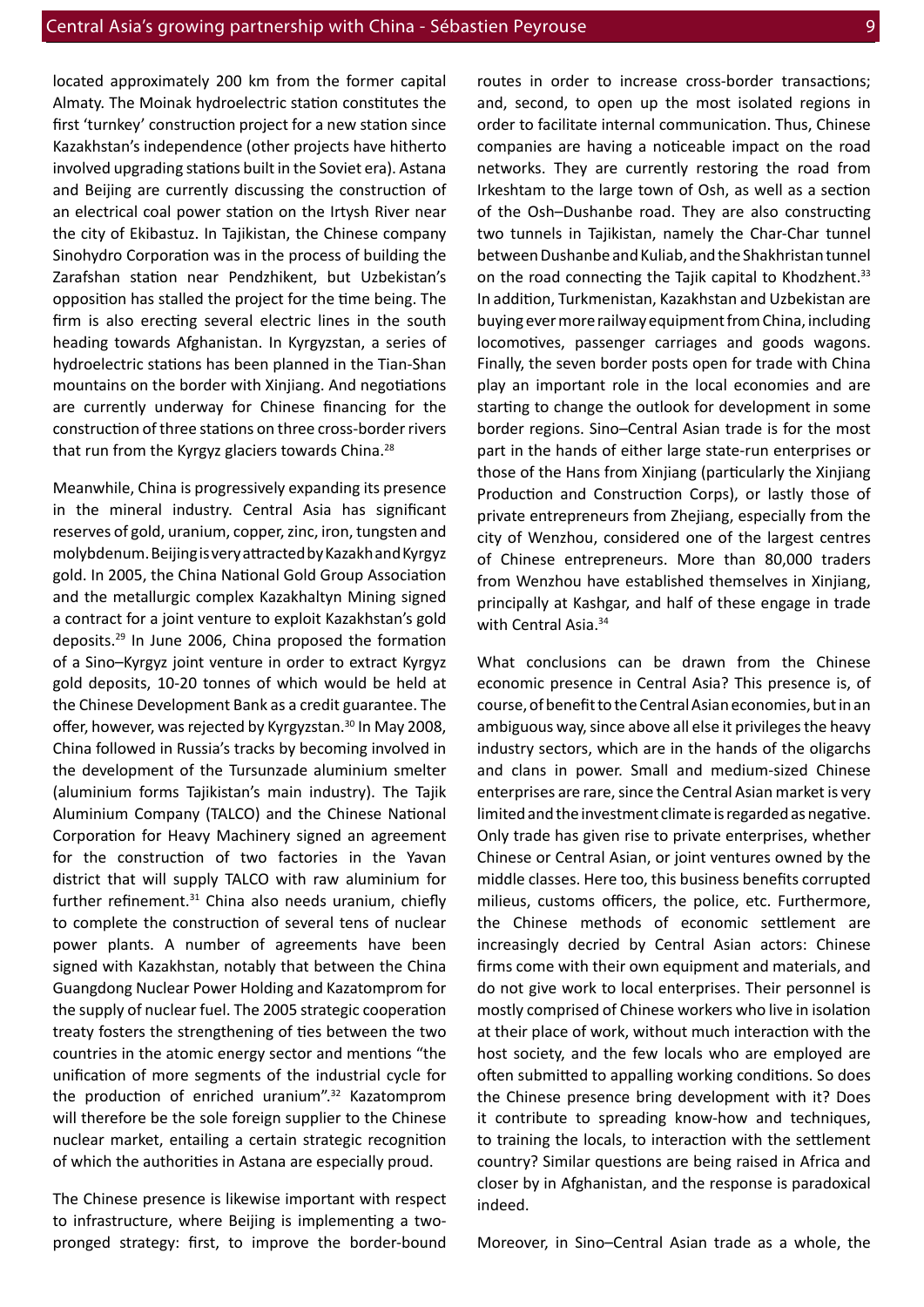located approximately 200 km from the former capital Almaty. The Moinak hydroelectric station constitutes the first 'turnkey' construction project for a new station since Kazakhstan's independence (other projects have hitherto involved upgrading stations built in the Soviet era). Astana and Beijing are currently discussing the construction of an electrical coal power station on the Irtysh River near the city of Ekibastuz. In Tajikistan, the Chinese company Sinohydro Corporation was in the process of building the Zarafshan station near Pendzhikent, but Uzbekistan's opposition has stalled the project for the time being. The firm is also erecting several electric lines in the south heading towards Afghanistan. In Kyrgyzstan, a series of hydroelectric stations has been planned in the Tian-Shan mountains on the border with Xinjiang. And negotiations are currently underway for Chinese financing for the construction of three stations on three cross-border rivers that run from the Kyrgyz glaciers towards China.<sup>28</sup>

Meanwhile, China is progressively expanding its presence in the mineral industry. Central Asia has significant reserves of gold, uranium, copper, zinc, iron, tungsten and molybdenum. Beijing is very attracted by Kazakh and Kyrgyz gold. In 2005, the China National Gold Group Association and the metallurgic complex Kazakhaltyn Mining signed a contract for a joint venture to exploit Kazakhstan's gold deposits.29 In June 2006, China proposed the formation of a Sino–Kyrgyz joint venture in order to extract Kyrgyz gold deposits, 10-20 tonnes of which would be held at the Chinese Development Bank as a credit guarantee. The offer, however, was rejected by Kyrgyzstan.<sup>30</sup> In May 2008, China followed in Russia's tracks by becoming involved in the development of the Tursunzade aluminium smelter (aluminium forms Tajikistan's main industry). The Tajik Aluminium Company (TALCO) and the Chinese National Corporation for Heavy Machinery signed an agreement for the construction of two factories in the Yavan district that will supply TALCO with raw aluminium for further refinement. $31$  China also needs uranium, chiefly to complete the construction of several tens of nuclear power plants. A number of agreements have been signed with Kazakhstan, notably that between the China Guangdong Nuclear Power Holding and Kazatomprom for the supply of nuclear fuel. The 2005 strategic cooperation treaty fosters the strengthening of ties between the two countries in the atomic energy sector and mentions "the unification of more segments of the industrial cycle for the production of enriched uranium".32 Kazatomprom will therefore be the sole foreign supplier to the Chinese nuclear market, entailing a certain strategic recognition of which the authorities in Astana are especially proud.

The Chinese presence is likewise important with respect to infrastructure, where Beijing is implementing a twopronged strategy: first, to improve the border-bound routes in order to increase cross-border transactions; and, second, to open up the most isolated regions in order to facilitate internal communication. Thus, Chinese companies are having a noticeable impact on the road networks. They are currently restoring the road from Irkeshtam to the large town of Osh, as well as a section of the Osh–Dushanbe road. They are also constructing two tunnels in Tajikistan, namely the Char-Char tunnel between Dushanbe and Kuliab, and the Shakhristan tunnel on the road connecting the Tajik capital to Khodzhent.<sup>33</sup> In addition, Turkmenistan, Kazakhstan and Uzbekistan are buying ever more railway equipment from China, including locomotives, passenger carriages and goods wagons. Finally, the seven border posts open for trade with China play an important role in the local economies and are starting to change the outlook for development in some border regions. Sino–Central Asian trade is for the most part in the hands of either large state-run enterprises or those of the Hans from Xinjiang (particularly the Xinjiang Production and Construction Corps), or lastly those of private entrepreneurs from Zhejiang, especially from the city of Wenzhou, considered one of the largest centres of Chinese entrepreneurs. More than 80,000 traders from Wenzhou have established themselves in Xinjiang, principally at Kashgar, and half of these engage in trade with Central Asia.<sup>34</sup>

What conclusions can be drawn from the Chinese economic presence in Central Asia? This presence is, of course, of benefit to the Central Asian economies, but in an ambiguous way, since above all else it privileges the heavy industry sectors, which are in the hands of the oligarchs and clans in power. Small and medium-sized Chinese enterprises are rare, since the Central Asian market is very limited and the investment climate is regarded as negative. Only trade has given rise to private enterprises, whether Chinese or Central Asian, or joint ventures owned by the middle classes. Here too, this business benefits corrupted milieus, customs officers, the police, etc. Furthermore, the Chinese methods of economic settlement are increasingly decried by Central Asian actors: Chinese firms come with their own equipment and materials, and do not give work to local enterprises. Their personnel is mostly comprised of Chinese workers who live in isolation at their place of work, without much interaction with the host society, and the few locals who are employed are often submitted to appalling working conditions. So does the Chinese presence bring development with it? Does it contribute to spreading know-how and techniques, to training the locals, to interaction with the settlement country? Similar questions are being raised in Africa and closer by in Afghanistan, and the response is paradoxical indeed.

Moreover, in Sino–Central Asian trade as a whole, the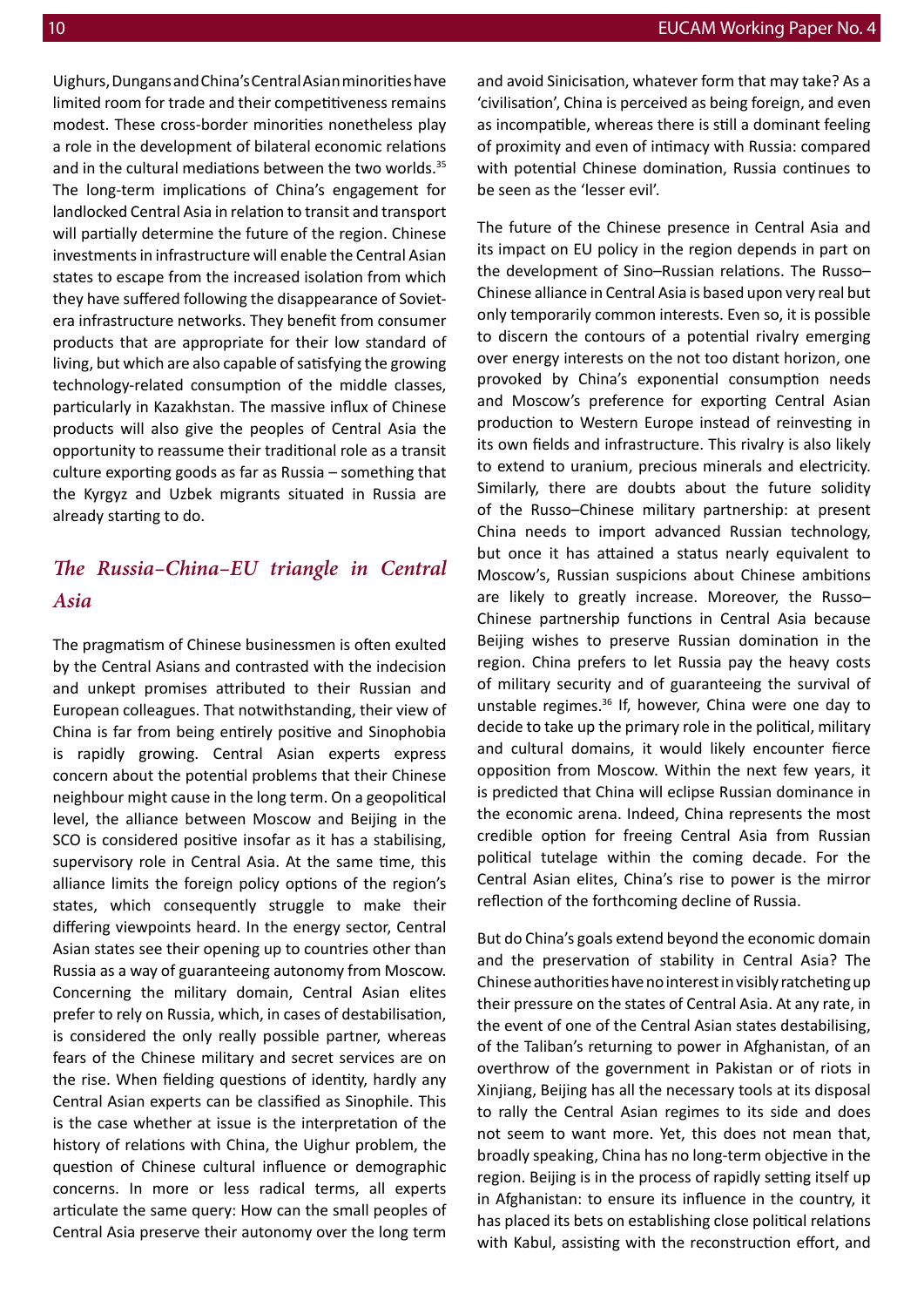Uighurs, Dungans and China's Central Asian minorities have limited room for trade and their competitiveness remains modest. These cross-border minorities nonetheless play a role in the development of bilateral economic relations and in the cultural mediations between the two worlds.<sup>35</sup> The long-term implications of China's engagement for landlocked Central Asia in relation to transit and transport will partially determine the future of the region. Chinese investments in infrastructure will enable the Central Asian states to escape from the increased isolation from which they have suffered following the disappearance of Sovietera infrastructure networks. They benefit from consumer products that are appropriate for their low standard of living, but which are also capable of satisfying the growing technology-related consumption of the middle classes, particularly in Kazakhstan. The massive influx of Chinese products will also give the peoples of Central Asia the opportunity to reassume their traditional role as a transit culture exporting goods as far as Russia – something that the Kyrgyz and Uzbek migrants situated in Russia are already starting to do.

#### *The Russia–China–EU triangle in Central Asia*

The pragmatism of Chinese businessmen is often exulted by the Central Asians and contrasted with the indecision and unkept promises attributed to their Russian and European colleagues. That notwithstanding, their view of China is far from being entirely positive and Sinophobia is rapidly growing. Central Asian experts express concern about the potential problems that their Chinese neighbour might cause in the long term. On a geopolitical level, the alliance between Moscow and Beijing in the SCO is considered positive insofar as it has a stabilising, supervisory role in Central Asia. At the same time, this alliance limits the foreign policy options of the region's states, which consequently struggle to make their differing viewpoints heard. In the energy sector, Central Asian states see their opening up to countries other than Russia as a way of guaranteeing autonomy from Moscow. Concerning the military domain, Central Asian elites prefer to rely on Russia, which, in cases of destabilisation, is considered the only really possible partner, whereas fears of the Chinese military and secret services are on the rise. When fielding questions of identity, hardly any Central Asian experts can be classified as Sinophile. This is the case whether at issue is the interpretation of the history of relations with China, the Uighur problem, the question of Chinese cultural influence or demographic concerns. In more or less radical terms, all experts articulate the same query: How can the small peoples of Central Asia preserve their autonomy over the long term

and avoid Sinicisation, whatever form that may take? As a 'civilisation', China is perceived as being foreign, and even as incompatible, whereas there is still a dominant feeling of proximity and even of intimacy with Russia: compared with potential Chinese domination, Russia continues to be seen as the 'lesser evil'.

The future of the Chinese presence in Central Asia and its impact on EU policy in the region depends in part on the development of Sino–Russian relations. The Russo– Chinese alliance in Central Asia is based upon very real but only temporarily common interests. Even so, it is possible to discern the contours of a potential rivalry emerging over energy interests on the not too distant horizon, one provoked by China's exponential consumption needs and Moscow's preference for exporting Central Asian production to Western Europe instead of reinvesting in its own fields and infrastructure. This rivalry is also likely to extend to uranium, precious minerals and electricity. Similarly, there are doubts about the future solidity of the Russo–Chinese military partnership: at present China needs to import advanced Russian technology, but once it has attained a status nearly equivalent to Moscow's, Russian suspicions about Chinese ambitions are likely to greatly increase. Moreover, the Russo– Chinese partnership functions in Central Asia because Beijing wishes to preserve Russian domination in the region. China prefers to let Russia pay the heavy costs of military security and of guaranteeing the survival of unstable regimes.36 If, however, China were one day to decide to take up the primary role in the political, military and cultural domains, it would likely encounter fierce opposition from Moscow. Within the next few years, it is predicted that China will eclipse Russian dominance in the economic arena. Indeed, China represents the most credible option for freeing Central Asia from Russian political tutelage within the coming decade. For the Central Asian elites, China's rise to power is the mirror reflection of the forthcoming decline of Russia.

But do China's goals extend beyond the economic domain and the preservation of stability in Central Asia? The Chinese authorities have no interest in visibly ratcheting up their pressure on the states of Central Asia. At any rate, in the event of one of the Central Asian states destabilising, of the Taliban's returning to power in Afghanistan, of an overthrow of the government in Pakistan or of riots in Xinjiang, Beijing has all the necessary tools at its disposal to rally the Central Asian regimes to its side and does not seem to want more. Yet, this does not mean that, broadly speaking, China has no long-term objective in the region. Beijing is in the process of rapidly setting itself up in Afghanistan: to ensure its influence in the country, it has placed its bets on establishing close political relations with Kabul, assisting with the reconstruction effort, and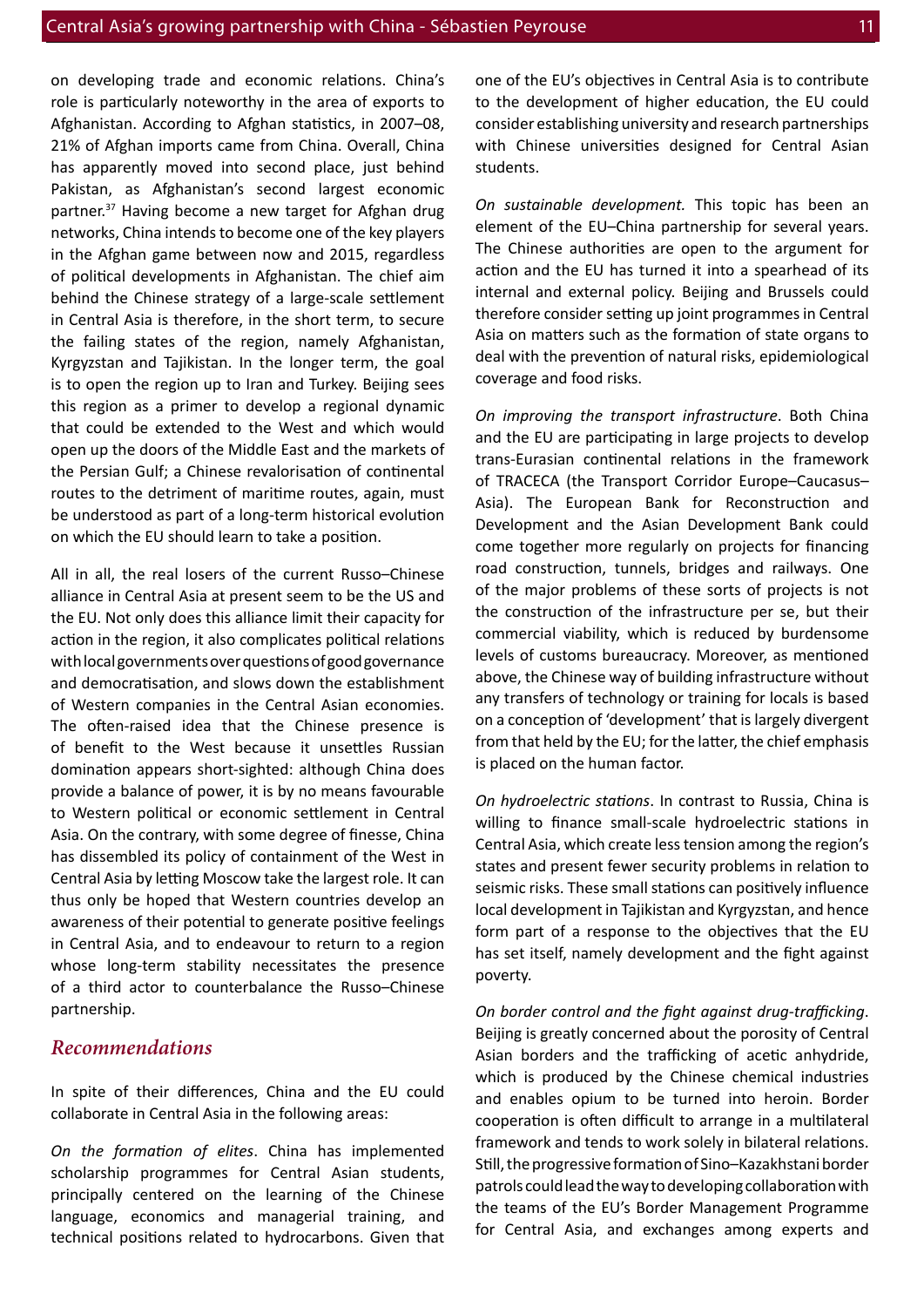on developing trade and economic relations. China's role is particularly noteworthy in the area of exports to Afghanistan. According to Afghan statistics, in 2007–08, 21% of Afghan imports came from China. Overall, China has apparently moved into second place, just behind Pakistan, as Afghanistan's second largest economic partner.<sup>37</sup> Having become a new target for Afghan drug networks, China intends to become one of the key players in the Afghan game between now and 2015, regardless of political developments in Afghanistan. The chief aim behind the Chinese strategy of a large-scale settlement in Central Asia is therefore, in the short term, to secure the failing states of the region, namely Afghanistan, Kyrgyzstan and Tajikistan. In the longer term, the goal is to open the region up to Iran and Turkey. Beijing sees this region as a primer to develop a regional dynamic that could be extended to the West and which would open up the doors of the Middle East and the markets of the Persian Gulf; a Chinese revalorisation of continental routes to the detriment of maritime routes, again, must be understood as part of a long-term historical evolution on which the EU should learn to take a position.

All in all, the real losers of the current Russo–Chinese alliance in Central Asia at present seem to be the US and the EU. Not only does this alliance limit their capacity for action in the region, it also complicates political relations with local governments over questions of good governance and democratisation, and slows down the establishment of Western companies in the Central Asian economies. The often-raised idea that the Chinese presence is of benefit to the West because it unsettles Russian domination appears short-sighted: although China does provide a balance of power, it is by no means favourable to Western political or economic settlement in Central Asia. On the contrary, with some degree of finesse, China has dissembled its policy of containment of the West in Central Asia by letting Moscow take the largest role. It can thus only be hoped that Western countries develop an awareness of their potential to generate positive feelings in Central Asia, and to endeavour to return to a region whose long-term stability necessitates the presence of a third actor to counterbalance the Russo–Chinese partnership.

#### *Recommendations*

In spite of their differences, China and the EU could collaborate in Central Asia in the following areas:

*On the formation of elites*. China has implemented scholarship programmes for Central Asian students, principally centered on the learning of the Chinese language, economics and managerial training, and technical positions related to hydrocarbons. Given that one of the EU's objectives in Central Asia is to contribute to the development of higher education, the EU could consider establishing university and research partnerships with Chinese universities designed for Central Asian students.

*On sustainable development.* This topic has been an element of the EU–China partnership for several years. The Chinese authorities are open to the argument for action and the EU has turned it into a spearhead of its internal and external policy. Beijing and Brussels could therefore consider setting up joint programmes in Central Asia on matters such as the formation of state organs to deal with the prevention of natural risks, epidemiological coverage and food risks.

*On improving the transport infrastructure*. Both China and the EU are participating in large projects to develop trans-Eurasian continental relations in the framework of TRACECA (the Transport Corridor Europe–Caucasus– Asia). The European Bank for Reconstruction and Development and the Asian Development Bank could come together more regularly on projects for financing road construction, tunnels, bridges and railways. One of the major problems of these sorts of projects is not the construction of the infrastructure per se, but their commercial viability, which is reduced by burdensome levels of customs bureaucracy. Moreover, as mentioned above, the Chinese way of building infrastructure without any transfers of technology or training for locals is based on a conception of 'development' that is largely divergent from that held by the EU; for the latter, the chief emphasis is placed on the human factor.

*On hydroelectric stations*. In contrast to Russia, China is willing to finance small-scale hydroelectric stations in Central Asia, which create less tension among the region's states and present fewer security problems in relation to seismic risks. These small stations can positively influence local development in Tajikistan and Kyrgyzstan, and hence form part of a response to the objectives that the EU has set itself, namely development and the fight against poverty.

*On border control and the fight against drug-trafficking*. Beijing is greatly concerned about the porosity of Central Asian borders and the trafficking of acetic anhydride, which is produced by the Chinese chemical industries and enables opium to be turned into heroin. Border cooperation is often difficult to arrange in a multilateral framework and tends to work solely in bilateral relations. Still, the progressive formation of Sino–Kazakhstani border patrols could lead the way to developing collaboration with the teams of the EU's Border Management Programme for Central Asia, and exchanges among experts and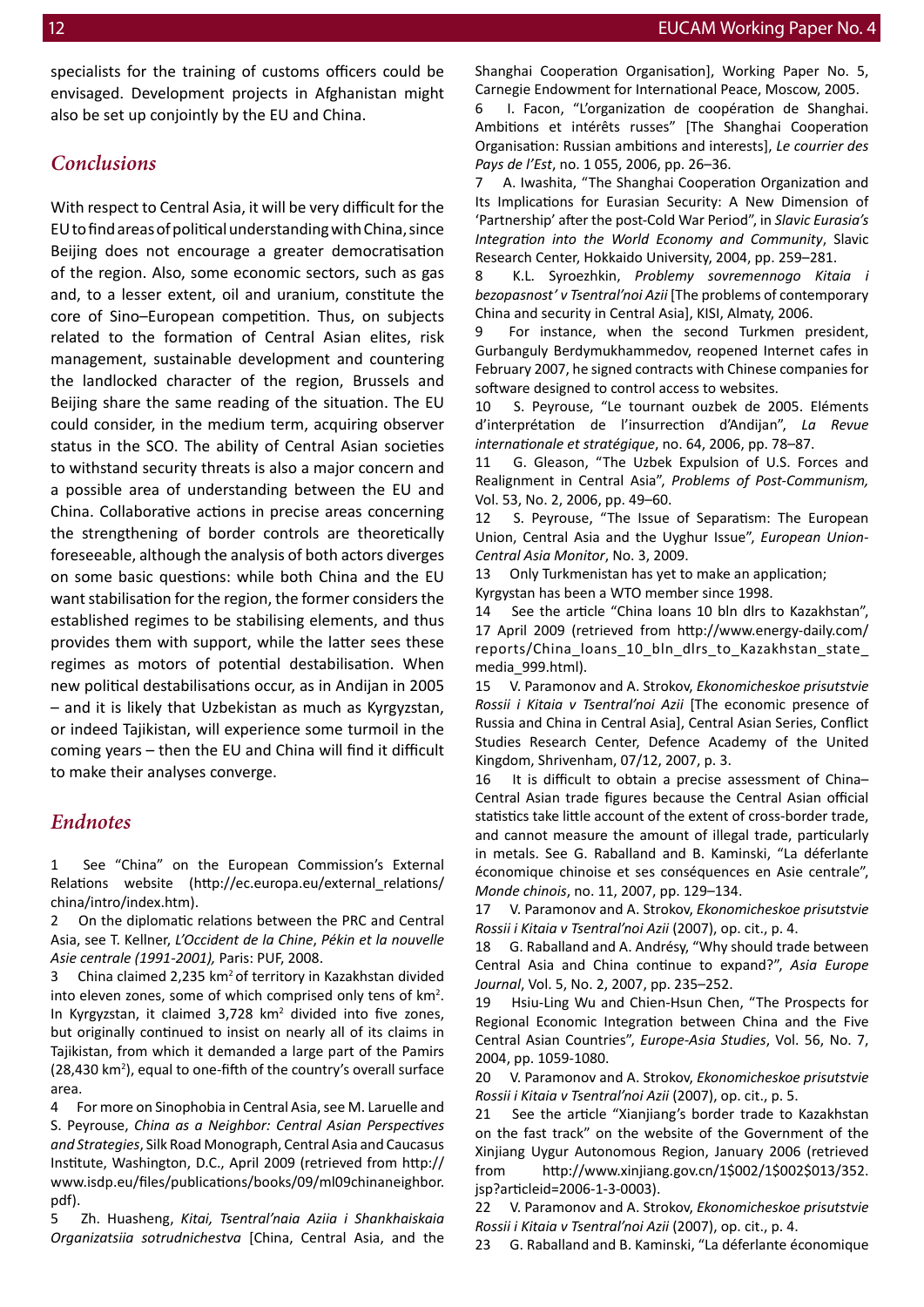specialists for the training of customs officers could be envisaged. Development projects in Afghanistan might also be set up conjointly by the EU and China.

#### *Conclusions*

With respect to Central Asia, it will be very difficult for the EU to find areas of political understanding with China, since Beijing does not encourage a greater democratisation of the region. Also, some economic sectors, such as gas and, to a lesser extent, oil and uranium, constitute the core of Sino–European competition. Thus, on subjects related to the formation of Central Asian elites, risk management, sustainable development and countering the landlocked character of the region, Brussels and Beijing share the same reading of the situation. The EU could consider, in the medium term, acquiring observer status in the SCO. The ability of Central Asian societies to withstand security threats is also a major concern and a possible area of understanding between the EU and China. Collaborative actions in precise areas concerning the strengthening of border controls are theoretically foreseeable, although the analysis of both actors diverges on some basic questions: while both China and the EU want stabilisation for the region, the former considers the established regimes to be stabilising elements, and thus provides them with support, while the latter sees these regimes as motors of potential destabilisation. When new political destabilisations occur, as in Andijan in 2005 – and it is likely that Uzbekistan as much as Kyrgyzstan, or indeed Tajikistan, will experience some turmoil in the coming years – then the EU and China will find it difficult to make their analyses converge.

#### *Endnotes*

1 See "China" on the European Commission's External Relations website (http://ec.europa.eu/external\_relations/ china/intro/index.htm).

2 On the diplomatic relations between the PRC and Central Asia, see T. Kellner, *L'Occident de la Chine*, *Pékin et la nouvelle Asie centrale (1991-2001),* Paris: PUF, 2008.

3 China claimed 2,235 km2 of territory in Kazakhstan divided into eleven zones, some of which comprised only tens of  $km<sup>2</sup>$ . In Kyrgyzstan, it claimed 3,728 km<sup>2</sup> divided into five zones, but originally continued to insist on nearly all of its claims in Tajikistan, from which it demanded a large part of the Pamirs (28,430 km<sup>2</sup>), equal to one-fifth of the country's overall surface area.

4 For more on Sinophobia in Central Asia, see M. Laruelle and S. Peyrouse, *China as a Neighbor: Central Asian Perspectives and Strategies*, Silk Road Monograph, Central Asia and Caucasus Institute, Washington, D.C., April 2009 (retrieved from http:// www.isdp.eu/files/publications/books/09/ml09chinaneighbor. pdf).

5 Zh. Huasheng, *Kitai, Tsentral'naia Aziia i Shankhaiskaia Organizatsiia sotrudnichestva* [China, Central Asia, and the Shanghai Cooperation Organisation], Working Paper No. 5, Carnegie Endowment for International Peace, Moscow, 2005.

6 I. Facon, "L'organization de coopération de Shanghai. Ambitions et intérêts russes" [The Shanghai Cooperation Organisation: Russian ambitions and interests], *Le courrier des Pays de l'Est*, no. 1 055, 2006, pp. 26–36.

7 A. Iwashita, "The Shanghai Cooperation Organization and Its Implications for Eurasian Security: A New Dimension of 'Partnership' after the post-Cold War Period", in *Slavic Eurasia's Integration into the World Economy and Community*, Slavic Research Center, Hokkaido University, 2004, pp. 259–281.

8 K.L. Syroezhkin, *Problemy sovremennogo Kitaia i bezopasnost' v Tsentral'noi Azii* [The problems of contemporary China and security in Central Asia], KISI, Almaty, 2006.

9 For instance, when the second Turkmen president, Gurbanguly Berdymukhammedov, reopened Internet cafes in February 2007, he signed contracts with Chinese companies for software designed to control access to websites.

10 S. Peyrouse, "Le tournant ouzbek de 2005. Eléments d'interprétation de l'insurrection d'Andijan", *La Revue internationale et stratégique*, no. 64, 2006, pp. 78–87.

11 G. Gleason, "The Uzbek Expulsion of U.S. Forces and Realignment in Central Asia", *Problems of Post-Communism,*  Vol. 53, No. 2, 2006, pp. 49–60.

12 S. Peyrouse, "The Issue of Separatism: The European Union, Central Asia and the Uyghur Issue", *European Union-Central Asia Monitor*, No. 3, 2009.

13 Only Turkmenistan has yet to make an application; Kyrgystan has been a WTO member since 1998.

14 See the article "China loans 10 bln dlrs to Kazakhstan", 17 April 2009 (retrieved from http://www.energy-daily.com/ reports/China\_loans\_10\_bln\_dlrs\_to\_Kazakhstan\_state\_ media\_999.html).

15 V. Paramonov and A. Strokov, *Ekonomicheskoe prisutstvie Rossii i Kitaia v Tsentral'noi Azii* [The economic presence of Russia and China in Central Asia], Central Asian Series, Conflict Studies Research Center, Defence Academy of the United Kingdom, Shrivenham, 07/12, 2007, p. 3.

It is difficult to obtain a precise assessment of China-Central Asian trade figures because the Central Asian official statistics take little account of the extent of cross-border trade, and cannot measure the amount of illegal trade, particularly in metals. See G. Raballand and B. Kaminski, "La déferlante économique chinoise et ses conséquences en Asie centrale", *Monde chinois*, no. 11, 2007, pp. 129–134.

17 V. Paramonov and A. Strokov, *Ekonomicheskoe prisutstvie Rossii i Kitaia v Tsentral'noi Azii* (2007), op. cit., p. 4.

18 G. Raballand and A. Andrésy, "Why should trade between Central Asia and China continue to expand?", *Asia Europe Journal*, Vol. 5, No. 2, 2007, pp. 235–252.

19 Hsiu-Ling Wu and Chien-Hsun Chen, "The Prospects for Regional Economic Integration between China and the Five Central Asian Countries", *Europe-Asia Studies*, Vol. 56, No. 7, 2004, pp. 1059-1080.

20 V. Paramonov and A. Strokov, *Ekonomicheskoe prisutstvie Rossii i Kitaia v Tsentral'noi Azii* (2007), op. cit., p. 5.

21 See the article "Xianjiang's border trade to Kazakhstan on the fast track" on the website of the Government of the Xinjiang Uygur Autonomous Region, January 2006 (retrieved from http://www.xinjiang.gov.cn/1\$002/1\$002\$013/352. jsp?articleid=2006-1-3-0003).

22 V. Paramonov and A. Strokov, *Ekonomicheskoe prisutstvie Rossii i Kitaia v Tsentral'noi Azii* (2007), op. cit., p. 4.

23 G. Raballand and B. Kaminski, "La déferlante économique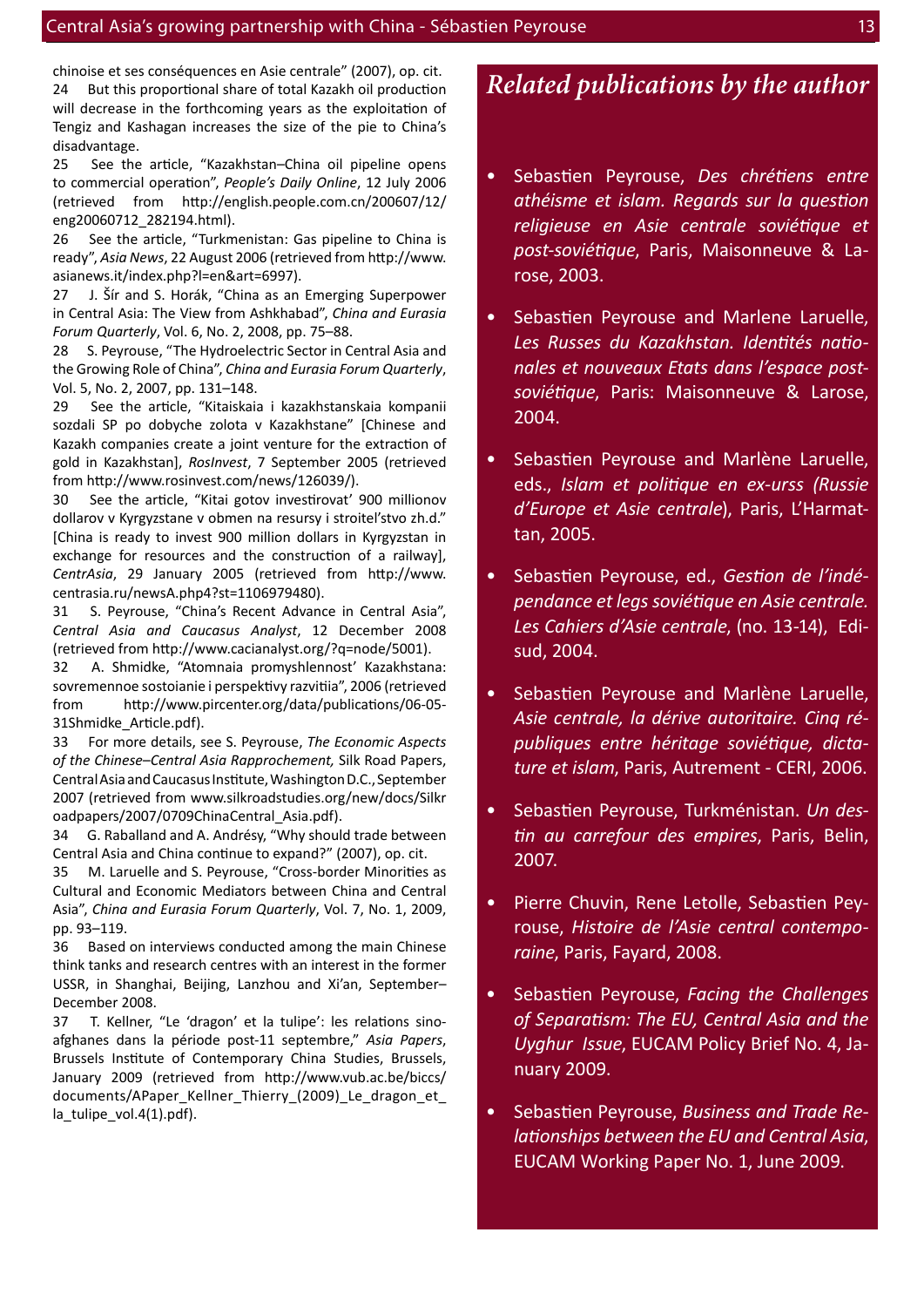chinoise et ses conséquences en Asie centrale" (2007), op. cit. 24 But this proportional share of total Kazakh oil production will decrease in the forthcoming years as the exploitation of Tengiz and Kashagan increases the size of the pie to China's disadvantage.

25 See the article, "Kazakhstan–China oil pipeline opens to commercial operation", *People's Daily Online*, 12 July 2006 (retrieved from http://english.people.com.cn/200607/12/ eng20060712\_282194.html).

26 See the article, "Turkmenistan: Gas pipeline to China is ready", *Asia News*, 22 August 2006 (retrieved from http://www. asianews.it/index.php?l=en&art=6997).

27 J. Šír and S. Horák, "China as an Emerging Superpower in Central Asia: The View from Ashkhabad", *China and Eurasia Forum Quarterly*, Vol. 6, No. 2, 2008, pp. 75–88.

28 S. Peyrouse, "The Hydroelectric Sector in Central Asia and the Growing Role of China", *China and Eurasia Forum Quarterly*, Vol. 5, No. 2, 2007, pp. 131–148.

29 See the article, "Kitaiskaia i kazakhstanskaia kompanii sozdali SP po dobyche zolota v Kazakhstane" [Chinese and Kazakh companies create a joint venture for the extraction of gold in Kazakhstan], *RosInvest*, 7 September 2005 (retrieved from http://www.rosinvest.com/news/126039/).

30 See the article, "Kitai gotov investirovat' 900 millionov dollarov v Kyrgyzstane v obmen na resursy i stroitel'stvo zh.d." [China is ready to invest 900 million dollars in Kyrgyzstan in exchange for resources and the construction of a railway], *CentrAsia*, 29 January 2005 (retrieved from http://www. centrasia.ru/newsA.php4?st=1106979480).

31 S. Peyrouse, "China's Recent Advance in Central Asia", *Central Asia and Caucasus Analyst*, 12 December 2008 (retrieved from http://www.cacianalyst.org/?q=node/5001).

32 A. Shmidke, "Atomnaia promyshlennost' Kazakhstana: sovremennoe sostoianie i perspektivy razvitiia", 2006 (retrieved from http://www.pircenter.org/data/publications/06-05- 31Shmidke\_Article.pdf).

33 For more details, see S. Peyrouse, *The Economic Aspects of the Chinese–Central Asia Rapprochement,* Silk Road Papers, Central Asia and Caucasus Institute, Washington D.C., September 2007 (retrieved from www.silkroadstudies.org/new/docs/Silkr oadpapers/2007/0709ChinaCentral\_Asia.pdf).

34 G. Raballand and A. Andrésy, "Why should trade between Central Asia and China continue to expand?" (2007), op. cit.

35 M. Laruelle and S. Peyrouse, "Cross-border Minorities as Cultural and Economic Mediators between China and Central Asia", *China and Eurasia Forum Quarterly*, Vol. 7, No. 1, 2009, pp. 93–119.

36 Based on interviews conducted among the main Chinese think tanks and research centres with an interest in the former USSR, in Shanghai, Beijing, Lanzhou and Xi'an, September– December 2008.

37 T. Kellner, "Le 'dragon' et la tulipe': les relations sinoafghanes dans la période post-11 septembre," *Asia Papers*, Brussels Institute of Contemporary China Studies, Brussels, January 2009 (retrieved from http://www.vub.ac.be/biccs/ documents/APaper Kellner Thierry (2009) Le dragon et la\_tulipe\_vol.4(1).pdf).

#### *Related publications by the author*

- Sebastien Peyrouse, *Des chrétiens entre athéisme et islam. Regards sur la question religieuse en Asie centrale soviétique et post-soviétique*, Paris, Maisonneuve & Larose, 2003.
- Sebastien Peyrouse and Marlene Laruelle, *Les Russes du Kazakhstan. Identités nationales et nouveaux Etats dans l'espace postsoviétique*, Paris: Maisonneuve & Larose, 2004.
- Sebastien Peyrouse and Marlène Laruelle, eds., *Islam et politique en ex-urss (Russie d'Europe et Asie centrale*), Paris, L'Harmattan, 2005.
- Sebastien Peyrouse, ed., *Gestion de l'indépendance et legs soviétique en Asie centrale. Les Cahiers d'Asie centrale*, (no. 13-14), Edisud, 2004.
- Sebastien Peyrouse and Marlène Laruelle, *Asie centrale, la dérive autoritaire. Cinq républiques entre héritage soviétique, dictature et islam*, Paris, Autrement - CERI, 2006.
- Sebastien Peyrouse, Turkménistan. *Un destin au carrefour des empires*, Paris, Belin, 2007.
- Pierre Chuvin, Rene Letolle, Sebastien Peyrouse, *Histoire de l'Asie central contemporaine*, Paris, Fayard, 2008.
- Sebastien Peyrouse, *Facing the Challenges of Separatism: The EU, Central Asia and the Uyghur Issue*, EUCAM Policy Brief No. 4, January 2009.
- Sebastien Peyrouse, *Business and Trade Relationships between the EU and Central Asia*, EUCAM Working Paper No. 1, June 2009.